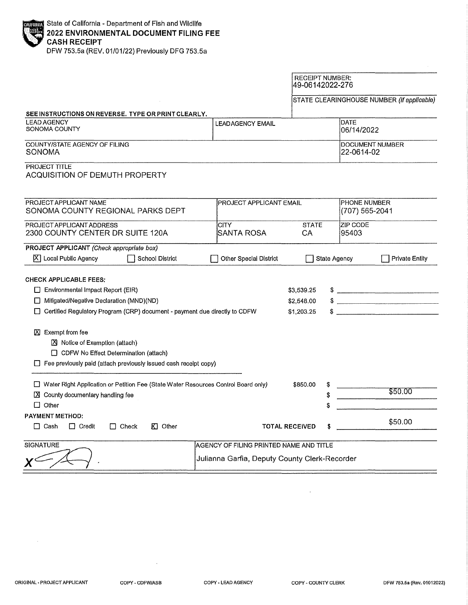| State of California - Department of Fish and Wildlife<br>2022 ENVIRONMENTAL DOCUMENT FILING FEE<br>CASH RECEIPT |
|-----------------------------------------------------------------------------------------------------------------|
|                                                                                                                 |
|                                                                                                                 |
| $F(H)$ and $F$ . $F(H)$ and $F(H)$ and $F(H)$ is the set of $F$                                                 |

DFW 753.5a (REV. 01/01/22} Previously DFG 753.5a

|                                                                                                                                                                         |                                               | <b>RECEIPT NUMBER:</b><br>49-06142022-276 |                          |                                            |
|-------------------------------------------------------------------------------------------------------------------------------------------------------------------------|-----------------------------------------------|-------------------------------------------|--------------------------|--------------------------------------------|
|                                                                                                                                                                         |                                               |                                           |                          | STATE CLEARINGHOUSE NUMBER (If applicable) |
| SEE INSTRUCTIONS ON REVERSE. TYPE OR PRINT CLEARLY.                                                                                                                     |                                               |                                           |                          |                                            |
| <b>LEAD AGENCY</b><br>SONOMA COUNTY                                                                                                                                     | <b>LEADAGENCY EMAIL</b>                       |                                           | DATE<br>06/14/2022       |                                            |
| COUNTY/STATE AGENCY OF FILING<br><b>SONOMA</b>                                                                                                                          |                                               | <b>DOCUMENT NUMBER</b><br>22-0614-02      |                          |                                            |
| PROJECT TITLE<br><b>ACQUISITION OF DEMUTH PROPERTY</b>                                                                                                                  |                                               |                                           |                          |                                            |
| PROJECT APPLICANT NAME<br>SONOMA COUNTY REGIONAL PARKS DEPT                                                                                                             | <b>IPROJECT APPLICANT EMAIL</b>               |                                           | <b>PHONE NUMBER</b>      | (707) 565-2041                             |
| PROJECT APPLICANT ADDRESS<br>2300 COUNTY CENTER DR SUITE 120A                                                                                                           | <b>CITY</b><br><b>ISANTA ROSA</b>             | <b>STATE</b><br>CA                        | <b>ZIP CODE</b><br>95403 |                                            |
| PROJECT APPLICANT (Check appropriate box)<br>$ \overline{X} $ Local Public Agency<br>School District                                                                    | Other Special District                        |                                           | <b>State Agency</b>      | <b>Private Entity</b>                      |
| <b>CHECK APPLICABLE FEES:</b>                                                                                                                                           |                                               |                                           |                          |                                            |
| Environmental Impact Report (EIR)                                                                                                                                       |                                               | \$3,539.25                                |                          | $\frac{1}{2}$                              |
| Mitigated/Negative Declaration (MND)(ND)                                                                                                                                |                                               | \$2,548.00                                |                          |                                            |
| Certified Regulatory Program (CRP) document - payment due directly to CDFW                                                                                              |                                               | \$1,203.25                                |                          |                                            |
| ■ Exempt from fee<br>区 Notice of Exemption (attach)<br>CDFW No Effect Determination (attach)<br>$\Box$ Fee previously paid (attach previously issued cash recelpt copy) |                                               |                                           |                          |                                            |
| □ Water Right Application or Petition Fee (State Water Resources Control Board only)<br>$[3]$ County documentary handling fee                                           |                                               | \$850.00<br>\$                            |                          | \$50.00                                    |
| $\Box$ Other                                                                                                                                                            |                                               |                                           |                          |                                            |
| PAYMENT METHOD:<br>$\Box$ Cash<br>$\Box$ Credit<br>KI Other<br>$\Box$ Check                                                                                             |                                               | <b>TOTAL RECEIVED</b>                     |                          | \$50.00                                    |
| <b>SIGNATURE</b>                                                                                                                                                        | AGENCY OF FILING PRINTED NAME AND TITLE       |                                           |                          |                                            |
|                                                                                                                                                                         | Julianna Garfia, Deputy County Clerk-Recorder |                                           |                          |                                            |
|                                                                                                                                                                         |                                               |                                           |                          |                                            |

r

 $\sim$ 

 $\mathcal{A}$ 

 $\bar{1}$ 

÷